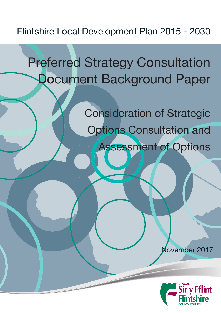## Flintshire Local Development Plan 2015 - 2030

# Preferred Strategy Consultation Document Background Paper

Consideration of Strategic Options Consultation and Assessment of Options

November 2017

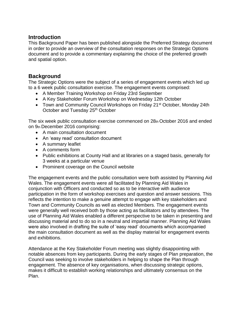### **Introduction**

This Background Paper has been published alongside the Preferred Strategy document in order to provide an overview of the consultation responses on the Strategic Options document and to provide a commentary explaining the choice of the preferred growth and spatial option.

### **Background**

The Strategic Options were the subject of a series of engagement events which led up to a 6 week public consultation exercise. The engagement events comprised:

- A Member Training Workshop on Friday 23rd September
- A Key Stakeholder Forum Workshop on Wednesday 12th October
- Town and Community Council Workshops on Friday 21<sup>st</sup> October, Monday 24th October and Tuesday 25<sup>th</sup> October

The six week public consultation exercise commenced on 28th October 2016 and ended on 9th December 2016 comprising:

- A main consultation document
- An 'easy read' consultation document
- A summary leaflet
- A comments form
- Public exhibitions at County Hall and at libraries on a staged basis, generally for 3 weeks at a particular venue
- Prominent coverage on the Council website

The engagement events and the public consultation were both assisted by Planning Aid Wales. The engagement events were all facilitated by Planning Aid Wales in conjunction with Officers and conducted so as to be interactive with audience participation in the form of workshop exercises and question and answer sessions. This reflects the intention to make a genuine attempt to engage with key stakeholders and Town and Community Councils as well as elected Members. The engagement events were generally well received both by those acting as facilitators and by attendees. The use of Planning Aid Wales enabled a different perspective to be taken in presenting and discussing material and to do so in a neutral and impartial manner. Planning Aid Wales were also involved in drafting the suite of 'easy read' documents which accompanied the main consultation document as well as the display material for engagement events and exhibitions.

Attendance at the Key Stakeholder Forum meeting was slightly disappointing with notable absences from key participants. During the early stages of Plan preparation, the Council was seeking to involve stakeholders in helping to shape the Plan through engagement. The absence of key organisations, when discussing strategic options, makes it difficult to establish working relationships and ultimately consensus on the Plan.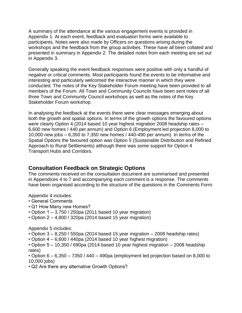A summary of the attendance at the various engagement events is provided in Appendix 1. At each event, feedback and evaluation forms were available to participants. Notes were also made by Officers on questions arising during the workshops and the feedback from the group activities. These have all been collated and presented in summary in Appendix 2. The detailed notes from each meeting are set out in Appendix 3.

Generally speaking the event feedback responses were positive with only a handful of negative or critical comments. Most participants found the events to be informative and interesting and particularly welcomed the interactive manner in which they were conducted. The notes of the Key Stakeholder Forum meeting have been provided to all members of the Forum. All Town and Community Councils have been sent notes of all three Town and Community Council workshops as well as the notes of the Key Stakeholder Forum workshop.

In analysing the feedback at the events there were clear messages emerging about both the growth and spatial options. In terms of the growth options the favoured options were clearly Option 4 (2014 based 10 year highest migration 2008 headship rates – 6,600 new homes / 440 per annum) and Option 6 (Employment led projection 8,000 to 10,000 new jobs – 6,350 to 7,350 new homes / 440-490 per annum). In terms of the Spatial Options the favoured option was Option 5 (Sustainable Distribution and Refined Approach to Rural Settlements) although there was some support for Option 4 Transport Hubs and Corridors.

### **Consultation Feedback on Strategic Options**

The comments received on the consultation document are summarised and presented in Appendices 4 to 7 and accompanying each comment is a response. The comments have been organised according to the structure of the questions in the Comments Form:

Appendix 4 includes:

- General Comments
- Q1 How Many new Homes?
- Option  $1 3.750 / 250$ pa (2011 based 10 year migration)
- Option 2 4,800 / 320pa (2014 based 15 year migration)

Appendix 5 includes:

- Option 3 8,250 / 550pa (2014 based 15 year migration 2008 headship rates)
- Option 4 6,600 / 440pa (2014 based 10 year highest migration)
- Option 5 10,350 / 690pa (2014 based 10 year highest migration 2008 headship rates)
- Option 6 6,350 7350 / 440 490pa (employment led projection based on 8,000 to 10,000 jobs)
- Q2 Are there any alternative Growth Options?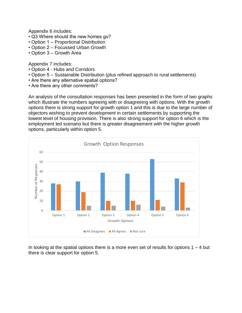Appendix 6 includes:

- Q3 Where should the new homes go?
- Option 1 Proportional Distribution
- Option 2 Focussed Urban Growth
- Option 3 Growth Area

Appendix 7 includes:

- Option 4 Hubs and Corridors
- Option 5 Sustainable Distribution (plus refined approach to rural settlements)
- Are there any alternative spatial options?
- Are there any other comments?

An analysis of the consultation responses has been presented in the form of two graphs which illustrate the numbers agreeing with or disagreeing with options. With the growth options there is strong support for growth option 1 and this is due to the large number of objectors wishing to prevent development in certain settlements by supporting the lowest level of housing provision. There is also strong support for option 6 which is the employment led scenario but there is greater disagreement with the higher growth options, particularly within option 5.



In looking at the spatial options there is a more even set of results for options  $1 - 4$  but there is clear support for option 5.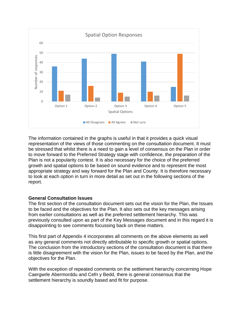

The information contained in the graphs is useful in that it provides a quick visual representation of the views of those commenting on the consultation document. It must be stressed that whilst there is a need to gain a level of consensus on the Plan in order to move forward to the Preferred Strategy stage with confidence, the preparation of the Plan is not a popularity contest. It is also necessary for the choice of the preferred growth and spatial options to be based on sound evidence and to represent the most appropriate strategy and way forward for the Plan and County. It is therefore necessary to look at each option in turn in more detail as set out in the following sections of the report.

### **General Consultation Issues**

The first section of the consultation document sets out the vision for the Plan, the Issues to be faced and the objectives for the Plan. It also sets out the key messages arising from earlier consultations as well as the preferred settlement hierarchy. This was previously consulted upon as part of the Key Messages document and in this regard it is disappointing to see comments focussing back on these matters.

This first part of Appendix 4 incorporates all comments on the above elements as well as any general comments not directly attributable to specific growth or spatial options. The conclusion from the introductory sections of the consultation document is that there is little disagreement with the vision for the Plan, issues to be faced by the Plan, and the objectives for the Plan.

With the exception of repeated comments on the settlement hierarchy concerning Hope Caergwrle Abermorddu and Cefn y Bedd, there is general consensus that the settlement hierarchy is soundly based and fit for purpose.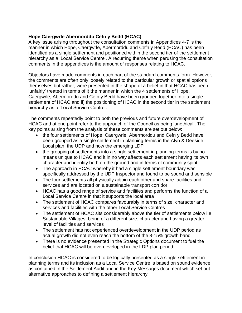### **Hope Caergwrle Abermorddu Cefn y Bedd (HCAC)**

A key issue arising throughout the consultation comments in Appendices 4-7 is the manner in which Hope, Caergwrle, Abermorddu and Cefn y Bedd (HCAC) has been identified as a single settlement and positioned within the second tier of the settlement hierarchy as a 'Local Service Centre'. A recurring theme when perusing the consultation comments in the appendices is the amount of responses relating to HCAC.

Objectors have made comments in each part of the standard comments form. However, the comments are often only loosely related to the particular growth or spatial options themselves but rather, were presented in the shape of a belief in that HCAC has been 'unfairly' treated in terms of i) the manner in which the 4 settlements of Hope, Caergwrle, Abermorddu and Cefn y Bedd have been grouped together into a single settlement of HCAC and ii) the positioning of HCAC in the second tier in the settlement hierarchy as a 'Local Service Centre'.

The comments repeatedly point to both the previous and future overdevelopment of HCAC and at one point refer to the approach of the Council as being 'unethical'. The key points arising from the analysis of these comments are set out below:

- the four settlements of Hope, Caergwrle, Abermorddu and Cefn y Bedd have been grouped as a single settlement in planning terms in the Alyn & Deeside Local plan, the UDP and now the emerging LDP
- the grouping of settlements into a single settlement in planning terms is by no means unique to HCAC and it in no way affects each settlement having its own character and identity both on the ground and in terms of community spirit
- The approach in HCAC whereby it had a single settlement boundary was specifically addressed by the UDP Inspector and found to be sound and sensible
- The four settlements all physically adjoin each other and share facilities and services and are located on a sustainable transport corridor
- HCAC has a good range of service and facilities and performs the function of a Local Service Centre in that it supports the local area
- The settlement of HCAC compares favourably in terms of size, character and services and facilities with the other Local Service Centres
- The settlement of HCAC sits considerably above the tier of settlements below i.e. Sustainable Villages, being of a different size, character and having a greater level of facilities and services
- The settlement has not experienced overdevelopment in the UDP period as actual growth did not even reach the bottom of the 8-15% growth band
- There is no evidence presented in the Strategic Options document to fuel the belief that HCAC will be overdeveloped in the LDP plan period

In conclusion HCAC is considered to be logically presented as a single settlement in planning terms and its inclusion as a Local Service Centre is based on sound evidence as contained in the Settlement Audit and in the Key Messages document which set out alternative approaches to defining a settlement hierarchy.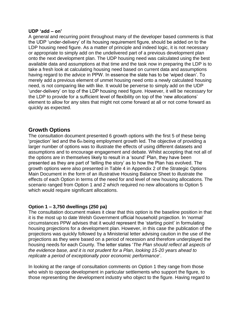#### **UDP 'add – on'**

A general and recurring point throughout many of the developer based comments is that the UDP 'under-delivery' of its housing requirement figure, should be added on to the LDP housing need figure. As a matter of principle and indeed logic, it is not necessary or appropriate to simply add on the undelivered part of a previous development plan onto the next development plan. The UDP housing need was calculated using the best available data and assumptions at that time and the task now in preparing the LDP is to take a fresh look at calculating housing need based on current data and assumptions having regard to the advice in PPW. In essence the slate has to be 'wiped clean'. To merely add a previous element of unmet housing need onto a newly calculated housing need, is not comparing like with like. It would be perverse to simply add on the UDP 'under-delivery' on top of the LDP housing need figure. However, it will be necessary for the LDP to provide for a sufficient level of flexibility on top of the 'new allocations' element to allow for any sites that might not come forward at all or not come forward as quickly as expected.

### **Growth Options**

The consultation document presented 6 growth options with the first 5 of these being 'projection' led and the  $6<sub>th</sub>$  being employment growth led. The objective of providing a larger number of options was to illustrate the effects of using different datasets and assumptions and to encourage engagement and debate. Whilst accepting that not all of the options are in themselves likely to result in a 'sound' Plan, they have been presented as they are part of 'telling the story' as to how the Plan has evolved. The growth options were also presented in Table 4 in Appendix 2 of the Strategic Options Main Document in the form of an illustrative Housing Balance Sheet to illustrate the effects of each Option in terms of the need for and level of new housing allocations. The scenario ranged from Option 1 and 2 which required no new allocations to Option 5 which would require significant allocations.

### **Option 1 – 3,750 dwellings (250 pa)**

The consultation document makes it clear that this option is the baseline position in that it is the most up to date Welsh Government official household projection. In 'normal' circumstances PPW advises that it would represent the 'starting point' in formulating housing projections for a development plan. However, in this case the publication of the projections was quickly followed by a Ministerial letter advising caution in the use of the projections as they were based on a period of recession and therefore underplayed the housing needs for each County. The letter states '*The Plan should reflect all aspects of the evidence base, and it is not prudent for a Plan, looking 15-20 years ahead to replicate a period of exceptionally poor economic performance*'.

In looking at the range of consultation comments on Option 1 they range from those who wish to oppose development in particular settlements who support the figure, to those representing the development industry who object to the figure. Having regard to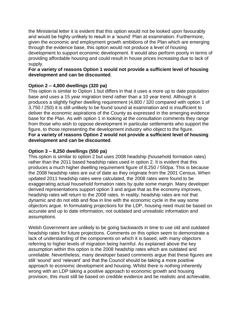the Ministerial letter it is evident that this option would not be looked upon favourably and would be highly unlikely to result in a 'sound' Plan at examination. Furthermore, given the economic and employment growth ambitions of the Plan which are emerging through the evidence base, this option would not produce a level of housing development to support economic development. It would also perform poorly in terms of providing affordable housing and could result in house prices increasing due to lack of supply.

### **For a variety of reasons Option 1 would not provide a sufficient level of housing development and can be discounted**.

### **Option 2 – 4,800 dwellings (320 pa)**

This option is similar to Option 1 but differs in that it uses a more up to date population base and uses a 15 year migration trend rather than a 10 year trend. Although it produces a slightly higher dwelling requirement (4,800 / 320 compared with option 1 of 3,750 / 250) it is still unlikely to be found sound at examination and is insufficient to deliver the economic aspirations of the County as expressed in the emerging evidence base for the Plan. As with option 1 in looking at the consultation comments they range from those who wish to oppose development in particular settlements who support the figure, to those representing the development industry who object to the figure. **For a variety of reasons Option 2 would not provide a sufficient level of housing development and can be discounted**.

### **Option 3 – 8,250 dwellings (550 pa)**

This option is similar to option 2 but uses 2008 headship (household formation rates) rather than the 2011 based headship rates used in option 2. It is evident that this produces a much higher dwelling requirement figure of 8,250 / 550pa. This is because the 2008 headship rates are out of date as they originate from the 2001 Census. When updated 2011 headship rates were calculated, the 2008 rates were found to be exaggerating actual household formation rates by quite some margin. Many developer derived representations support option 3 and argue that as the economy improves, headship rates will return to the 2008 rates. In reality, headship rates are not that dynamic and do not ebb and flow in line with the economic cycle in the way some objectors argue. In formulating projections for the LDP, housing need must be based on accurate and up to date information, not outdated and unrealistic information and assumptions.

Welsh Government are unlikely to be going backwards in time to use old and outdated headship rates for future projections. Comments on this option seem to demonstrate a lack of understanding of the components on which it is based, with many objectors referring to higher levels of migration being harmful. As explained above the key assumption within this option is the 2008 headship rates which are outdated and unreliable. Nevertheless, many developer based comments argue that these figures are still 'sound' and 'relevant' and that the Council should be taking a more positive approach to economic development and housing. Whilst there is nothing inherently wrong with an LDP taking a positive approach to economic growth and housing provision, this must still be based on credible evidence and be realistic and achievable,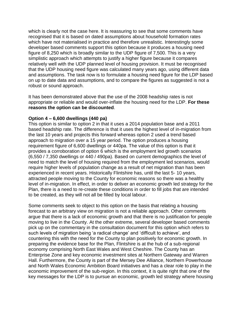which is clearly not the case here. It is reassuring to see that some comments have recognised that it is based on dated assumptions about household formation rates which have not materialised in practice and therefore unrealistic. Interestingly some developer based comments support this option because it produces a housing need figure of 8,250 which is broadly similar to the UDP figure of 7,500. This is a very simplistic approach which attempts to justify a higher figure because it compares relatively well with the UDP planned level of housing provision. It must be recognised that the UDP housing need figure was calculated many years ago, using different data and assumptions. The task now is to formulate a housing need figure for the LDP based on up to date data and assumptions, and to compare the figures as suggested is not a robust or sound approach.

It has been demonstrated above that the use of the 2008 headship rates is not appropriate or reliable and would over-inflate the housing need for the LDP. **For these reasons the option can be discounted**.

### **Option 4 – 6,600 dwellings (440 pa)**

This option is similar to option 2 in that it uses a 2014 population base and a 2011 based headship rate. The difference is that it uses the highest level of in-migration from the last 10 years and projects this forward whereas option 2 used a trend based approach to migration over a 15 year period. The option produces a housing requirement figure of 6,600 dwellings or 440pa. The value of this option is that it provides a corroboration of option 6 which is the employment led growth scenarios (6,550 / 7,350 dwellings or 440 / 490pa). Based on current demographics the level of need to match the level of housing required from the employment led scenarios, would require higher levels of population change as a result of net migration than has been experienced in recent years. Historically Flintshire has, until the last 5- 10 years, attracted people moving to the County for economic reasons so there was a healthy level of in-migration. In effect, in order to deliver an economic growth led strategy for the Plan, there is a need to re-create these conditions in order to fill jobs that are intended to be created, as they will not all be filled by local labour.

Some comments seek to object to this option on the basis that relating a housing forecast to an arbitrary view on migration is not a reliable approach. Other comments argue that there is a lack of economic growth and that there is no justification for people moving to live in the County. At the other extreme, several developer based comments pick up on the commentary in the consultation document for this option which refers to such levels of migration being 'a radical change' and 'difficult to achieve', and countering this with the need for the County to plan positively for economic growth. In preparing the evidence base for the Plan, Flintshire is at the hub of a sub-regional economy comprising North East Wales and West Cheshire. The County has an Enterprise Zone and key economic investment sites at Northern Gateway and Warren Hall. Furthermore, the County is part of the Mersey Dee Alliance, Northern Powerhouse and North Wales Economic Ambition Board initiatives and has a clear role to play in the economic improvement of the sub-region. In this context, it is quite right that one of the key messages for the LDP is to pursue an economic, growth led strategy where housing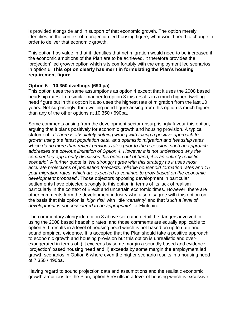is provided alongside and in support of that economic growth. The option merely identifies, in the context of a projection led housing figure, what would need to change in order to deliver that economic growth.

This option has value in that it identifies that net migration would need to be increased if the economic ambitions of the Plan are to be achieved. It therefore provides the 'projection' led growth option which sits comfortably with the employment led scenarios in option 6. **This option clearly has merit in formulating the Plan's housing requirement figure.**

### **Option 5 – 10,350 dwellings (690 pa)**

This option uses the same assumptions as option 4 except that it uses the 2008 based headship rates. In a similar manner to option 3 this results in a much higher dwelling need figure but in this option it also uses the highest rate of migration from the last 10 years. Not surprisingly, the dwelling need figure arising from this option is much higher than any of the other options at 10,350 / 690pa.

Some comments arising from the development sector unsurprisingly favour this option, arguing that it plans positively for economic growth and housing provision. A typical statement is '*There is absolutely nothing wrong with taking a positive approach to growth using the latest population data, and optimistic migration and headship rates which do no more than reflect previous rates prior to the recession, such an approach addresses the obvious limitation of Option 4. However it is not understood why the commentary apparently dismisses this option out of hand, it is an entirely realistic scenario'*. A further quote is '*We strongly agree with this strategy as it uses most accurate projections of population forecasts, reliable household formation rates and 15 year migration rates, which are expected to continue to grow based on the economic development proposed*'. Those objectors opposing development in particular settlements have objected strongly to this option in terms of its lack of realism particularly in the context of Brexit and uncertain economic times. However, there are other comments from the development industry who also disagree with this option on the basis that this option is '*high risk*' with little '*certainty*' and that '*such a level of development is not considered to be appropriate*' for Flintshire.

The commentary alongside option 3 above set out in detail the dangers involved in using the 2008 based headship rates, and those comments are equally applicable to option 5. It results in a level of housing need which is not based on up to date and sound empirical evidence. It is accepted that the Plan should take a positive approach to economic growth and housing provision but this option is unrealistic and overexaggerated in terms of i) it exceeds by some margin a soundly based and evidence 'projection' based housing need and ii) exceeds by some margin the employment led growth scenarios in Option 6 where even the higher scenario results in a housing need of 7,350 / 490pa.

Having regard to sound projection data and assumptions and the realistic economic growth ambitions for the Plan, option 5 results in a level of housing which is excessive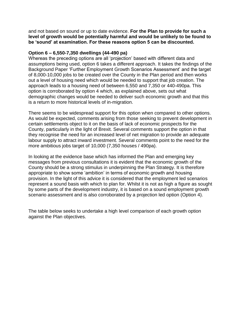and not based on sound or up to date evidence. **For the Plan to provide for such a level of growth would be potentially harmful and would be unlikely to be found to be 'sound' at examination. For these reasons option 5 can be discounted.**

#### **Option 6 – 6,550-7,350 dwellings (44-490 pa)**

Whereas the preceding options are all 'projection' based with different data and assumptions being used, option 6 takes a different approach. It takes the findings of the Background Paper 'Further Employment Growth Scenarios Assessment' and the target of 8,000-10,000 jobs to be created over the County in the Plan period and then works out a level of housing need which would be needed to support that job creation. The approach leads to a housing need of between 6,550 and 7,350 or 440-490pa. This option is corroborated by option 4 which, as explained above, sets out what demographic changes would be needed to deliver such economic growth and that this is a return to more historical levels of in-migration.

There seems to be widespread support for this option when compared to other options. As would be expected, comments arising from those seeking to prevent development in certain settlements object to it on the basis of lack of economic prospects for the County, particularly in the light of Brexit. Several comments support the option in that they recognise the need for an increased level of net migration to provide an adequate labour supply to attract inward investment. Several comments point to the need for the more ambitious jobs target of 10,000 (7,350 houses / 490pa).

In looking at the evidence base which has informed the Plan and emerging key messages from previous consultations it is evident that the economic growth of the County should be a strong stimulus in underpinning the Plan Strategy. It is therefore appropriate to show some 'ambition' in terms of economic growth and housing provision. In the light of this advice it is considered that the employment led scenarios represent a sound basis with which to plan for. Whilst it is not as high a figure as sought by some parts of the development industry, it is based on a sound employment growth scenario assessment and is also corroborated by a projection led option (Option 4).

The table below seeks to undertake a high level comparison of each growth option against the Plan objectives.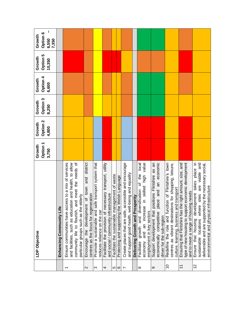|                          | LDP Objective                                                                                                                                                                                                           | <b>Option 1</b><br>Growth<br>3,750 | Option <sub>2</sub><br>Growth<br>4,800 | Option 3<br>Growth<br>8,250 | <b>Option 4</b><br>Growth<br>6,600 | Option 5<br>Growth<br>10,350 | Option 6<br>Growth<br>7,350<br>6,550 |
|--------------------------|-------------------------------------------------------------------------------------------------------------------------------------------------------------------------------------------------------------------------|------------------------------------|----------------------------------------|-----------------------------|------------------------------------|------------------------------|--------------------------------------|
|                          | Enhancing Community Life                                                                                                                                                                                                |                                    |                                        |                             |                                    |                              |                                      |
| $\overline{\phantom{0}}$ | community life to flourish, and meet the needs of<br>Ensure communities have access to a mix of services<br>and facilities, such as education and health, to allow<br>particular groups such as the elderly             |                                    |                                        |                             |                                    |                              |                                      |
| $\mathbf{\Omega}$        | Encourage the development of town and district<br>centres as the focus for regeneration                                                                                                                                 |                                    |                                        |                             |                                    |                              |                                      |
| ω                        | Promote a sustainable and safe transport system that<br>educes reliance on the car                                                                                                                                      |                                    |                                        |                             |                                    |                              |                                      |
| 4                        | Facilitate the provision of necessary transport, utility<br>and social / community infrastructure                                                                                                                       |                                    |                                        |                             |                                    |                              |                                      |
| ဟ $\circ$                | Facilitate the sustainable management of waste                                                                                                                                                                          |                                    |                                        |                             |                                    |                              |                                      |
|                          | Protecting and supporting the Welsh Language                                                                                                                                                                            |                                    |                                        |                             |                                    |                              |                                      |
| $\overline{ }$           | Create places that are safe, accessible and encourage<br>and support good health, well-being and equality                                                                                                               |                                    |                                        |                             |                                    |                              |                                      |
|                          | Delivering Growth and Prosperity                                                                                                                                                                                        |                                    |                                        |                             |                                    |                              |                                      |
| $\infty$                 | in skilled high value<br>$\overline{10}$ cal<br>and diversification of the<br>and an increase<br>employment in key sectors<br>growth<br>economy<br>Facilitate                                                           |                                    |                                        |                             |                                    |                              |                                      |
| တ                        | place and an economic<br>Support development that positions Flintshire as an<br>economically competitive<br>driver for the sub-region                                                                                   |                                    |                                        |                             |                                    |                              |                                      |
| $\overline{C}$           | Redefine the role and function of Flintshire's town<br>centres as vibrant destinations for shopping, leisure,<br>culture, learning, business and transport                                                              |                                    |                                        |                             |                                    |                              |                                      |
| $\tilde{+}$              | type of new housing to support economic development<br>Ensuring that Flintshire has the right amount, size, and<br>ng needs<br>and to meet a range of housii                                                            |                                    |                                        |                             |                                    |                              |                                      |
| 12                       | development takes place in<br>are viable and<br>I by the necessary social,<br>environmental and physical infrastructure<br>sites<br>sustainable locations where<br>deliverable and are supported<br>Ensure that housing |                                    |                                        |                             |                                    |                              |                                      |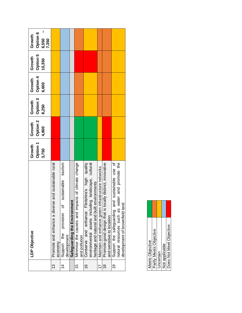|                | LDP Objective                                                                                                                                          | Option 1<br>Growth<br>3,750 | Option 2<br>Growth<br>4,800 | Option 3<br>Growth<br>8,250 | Option 4<br>Growth<br>6,600 | Option 5<br>Growth<br>10,350 | Option 6<br>Growth<br>6,550<br>7,350 |
|----------------|--------------------------------------------------------------------------------------------------------------------------------------------------------|-----------------------------|-----------------------------|-----------------------------|-----------------------------|------------------------------|--------------------------------------|
| 13             | rse and sustainable rural<br>Promote and enhance a dive<br>economy                                                                                     |                             |                             |                             |                             |                              |                                      |
| $\overline{4}$ | tourism<br>sustainable<br>ō<br>provision<br>Support the<br>development                                                                                 |                             |                             |                             |                             |                              |                                      |
|                | Safeguarding the Environment                                                                                                                           |                             |                             |                             |                             |                              |                                      |
| 15             | Minimise the causes and impacts of climate change<br>and pollution                                                                                     |                             |                             |                             |                             |                              |                                      |
| $\frac{6}{5}$  | Conserve and enhance Flintshire's high quality<br>environmental assets including landscape, cultural<br>environments<br>heritage and natural and built |                             |                             |                             |                             |                              |                                      |
| $\overline{1}$ | infrastructure networks<br>Maintain and enhance green                                                                                                  |                             |                             |                             |                             |                              |                                      |
| $\frac{8}{1}$  | ocally distinct, innovative<br>Promote good design that is<br>and sensitive to location                                                                |                             |                             |                             |                             |                              |                                      |
| Ó,             | Support the safeguarding and sustainable use of<br>water and promote the<br>ğ<br>development of brownfield lar<br>natural resources such as            |                             |                             |                             |                             |                              |                                      |

| Meets Objective | Partly Meets Objective | Uncertain | Not applicable | Does Not Meet Objective |  |
|-----------------|------------------------|-----------|----------------|-------------------------|--|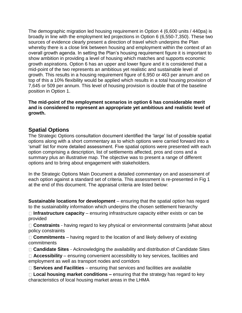The demographic migration led housing requirement in Option 4 (6,600 units / 440pa) is broadly in line with the employment led projections in Option 6 (6,550-7,350). These two sources of evidence clearly present a direction of travel which underpins the Plan whereby there is a close link between housing and employment within the context of an overall growth agenda. In setting the Plan's housing requirement figure it is important to show ambition in providing a level of housing which matches and supports economic growth aspirations. Option 6 has an upper and lower figure and it is considered that a mid-point of the two represents an ambitious yet realistic and sustainable level of growth. This results in a housing requirement figure of 6,950 or 463 per annum and on top of this a 10% flexibility would be applied which results in a total housing provision of 7,645 or 509 per annum. This level of housing provision is double that of the baseline position in Option 1.

**The mid-point of the employment scenarios in option 6 has considerable merit and is considered to represent an appropriate yet ambitious and realistic level of growth.**

### **Spatial Options**

The Strategic Options consultation document identified the 'large' list of possible spatial options along with a short commentary as to which options were carried forward into a 'small' list for more detailed assessment. Five spatial options were presented with each option comprising a description, list of settlements affected, pros and cons and a summary plus an illustrative map. The objective was to present a range of different options and to bring about engagement with stakeholders.

In the Strategic Options Main Document a detailed commentary on and assessment of each option against a standard set of criteria. This assessment is re-presented in Fig 1 at the end of this document. The appraisal criteria are listed below:

**Sustainable locations for development** – ensuring that the spatial option has regard to the sustainability information which underpins the chosen settlement hierarchy

□ Infrastructure capacity – ensuring infrastructure capacity either exists or can be provided

**Constraints** - having regard to key physical or environmental constraints [what about policy constraints

□ **Commitments** – having regard to the location of and likely delivery of existing commitments

□ **Candidate Sites** - Acknowledging the availability and distribution of Candidate Sites

□ **Accessibility** – ensuring convenient accessibility to key services, facilities and employment as well as transport nodes and corridors

**Services and Facilities** – ensuring that services and facilities are available

**Local housing market conditions –** ensuring that the strategy has regard to key characteristics of local housing market areas in the LHMA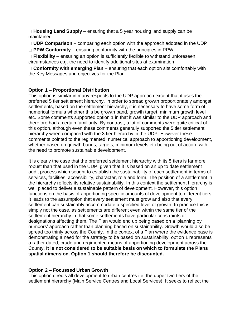**Housing Land Supply** – ensuring that a 5 year housing land supply can be maintained

**UDP Comparison** – comparing each option with the approach adopted in the UDP

□ **PPW Conformity** – ensuring conformity with the principles in PPW

□ Flexibility – ensuring an option is sufficiently flexible to withstand unforeseen circumstances e.g. the need to identify additional sites at examination

□ **Conformity with emerging Plan** – ensuring that each option sits comfortably with the Key Messages and objectives for the Plan.

### **Option 1 – Proportional Distribution**

This option is similar in many respects to the UDP approach except that it uses the preferred 5 tier settlement hierarchy. In order to spread growth proportionately amongst settlements, based on the settlement hierarchy, it is necessary to have some form of numerical formula whether this be growth band, growth target, minimum growth level etc. Some comments supported option 1 in that it was similar to the UDP approach and therefore had a certain familiarity. By contrast, a lot of comments were quite critical of this option, although even these comments generally supported the 5 tier settlement hierarchy when compared with the 3 tier hierarchy in the UDP. However these comments pointed to the regimented, numerical approach to apportioning development, whether based on growth bands, targets, minimum levels etc being out of accord with the need to promote sustainable development.

It is clearly the case that the preferred settlement hierarchy with its 5 tiers is far more robust than that used in the UDP, given that it is based on an up to date settlement audit process which sought to establish the sustainability of each settlement in terms of services, facilities, accessibility, character, role and form. The position of a settlement in the hierarchy reflects its relative sustainability. In this context the settlement hierarchy is well placed to deliver a sustainable pattern of development. However, this option functions on the basis of apportioning specific amounts of development to different tiers. It leads to the assumption that every settlement must grow and also that every settlement can sustainably accommodate a specified level of growth. In practice this is simply not the case, as settlements are different even within the same tier of the settlement hierarchy in that some settlements have particular constraints or designations affecting them. The Plan would end up being based on a 'planning by numbers' approach rather than planning based on sustainability. Growth would also be spread too thinly across the County. In the context of a Plan where the evidence base is demonstrating a need for the strategy to be based on sustainability, option 1 represents a rather dated, crude and regimented means of apportioning development across the County. **It is not considered to be suitable basis on which to formulate the Plans spatial dimension. Option 1 should therefore be discounted.**

### **Option 2 – Focussed Urban Growth**

This option directs all development to urban centres i.e. the upper two tiers of the settlement hierarchy (Main Service Centres and Local Services). It seeks to reflect the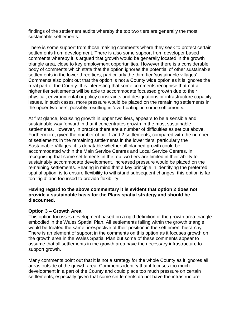findings of the settlement audits whereby the top two tiers are generally the most sustainable settlements.

There is some support from those making comments where they seek to protect certain settlements from development. There is also some support from developer based comments whereby it is argued that growth would be generally located in the growth triangle area, close to key employment opportunities. However there is a considerable body of comments which state that the option ignores the potential of other sustainable settlements in the lower three tiers, particularly the third tier 'sustainable villages'. Comments also point out that the option is not a County wide option as it is ignores the rural part of the County. It is interesting that some comments recognise that not all higher tier settlements will be able to accommodate focussed growth due to their physical, environmental or policy constraints and designations or infrastructure capacity issues. In such cases, more pressure would be placed on the remaining settlements in the upper two tiers, possibly resulting in 'overheating' in some settlements.

At first glance, focussing growth in upper two tiers, appears to be a sensible and sustainable way forward in that it concentrates growth in the most sustainable settlements. However, in practice there are a number of difficulties as set out above. Furthermore, given the number of tier 1 and 2 settlements, compared with the number of settlements in the remaining settlements in the lower tiers, particularly the Sustainable Villages, it is debatable whether all planned growth could be accommodated within the Main Service Centres and Local Service Centres. In recognising that some settlements in the top two tiers are limited in their ability to sustainably accommodate development, increased pressure would be placed on the remaining settlements. Bearing in mind that a key principle in identifying the preferred spatial option, is to ensure flexibility to withstand subsequent changes, this option is far too 'rigid' and focussed to provide flexibility.

### **Having regard to the above commentary it is evident that option 2 does not provide a sustainable basis for the Plans spatial strategy and should be discounted.**

### **Option 3 – Growth Area**

This option focusses development based on a rigid definition of the growth area triangle embodied in the Wales Spatial Plan. All settlements falling within the growth triangle would be treated the same, irrespective of their position in the settlement hierarchy. There is an element of support in the comments on this option as it focuses growth on the growth area in the Wales Spatial Plan but some of these comments appear to assume that all settlements in the growth area have the necessary infrastructure to support growth.

Many comments point out that it is not a strategy for the whole County as it ignores all areas outside of the growth area. Comments identify that it focuses too much development in a part of the County and could place too much pressure on certain settlements, especially given that some settlements do not have the infrastructure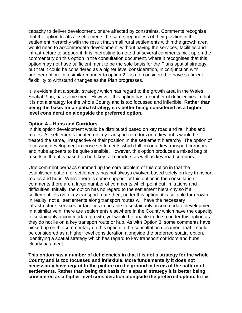capacity to deliver development, or are affected by constraints. Comments recognise that the option treats all settlements the same, regardless of their position in the settlement hierarchy with the result that small rural settlements within the growth area would need to accommodate development, without having the services, facilities and infrastructure to support it. It is interesting to note that several comments pick up on the commentary on this option in the consultation document, where it recognises that this option may not have sufficient merit to be the sole basis for the Plans spatial strategy, but that it could be considered as a higher level consideration, in conjunction with another option. In a similar manner to option 2 it is not considered to have sufficient flexibility to withstand changes as the Plan progresses.

It is evident that a spatial strategy which has regard to the growth area in the Wales Spatial Plan, has some merit. However, this option has a number of deficiencies in that it is not a strategy for the whole County and is too focussed and inflexible. **Rather than being the basis for a spatial strategy it is better being considered as a higher level consideration alongside the preferred option.**

#### **Option 4 – Hubs and Corridors**

In this option development would be distributed based on key road and rail hubs and routes. All settlements located on key transport corridors or at key hubs would be treated the same, irrespective of their position in the settlement hierarchy. The option of focussing development in those settlements which fall on or at key transport corridors and hubs appears to be quite sensible. However, this option produces a mixed bag of results in that it is based on both key rail corridors as well as key road corridors.

One comment perhaps summed up the core problem of this option in that the established pattern of settlements has not always evolved based solely on key transport routes and hubs. Whilst there is some support for this option in the consultation comments there are a large number of comments which point out limitations and difficulties. Initially, the option has no regard to the settlement hierarchy so if a settlement lies on a key transport route then, under this option, it is suitable for growth. In reality, not all settlements along transport routes will have the necessary infrastructure, services or facilities to be able to sustainably accommodate development. In a similar vein, there are settlements elsewhere in the County which have the capacity to sustainably accommodate growth, yet would be unable to do so under this option as they do not lie on a key transport route or hub. As with Option 3, some comments have picked up on the commentary on this option in the consultation document that it could be considered as a higher level consideration alongside the preferred spatial option. Identifying a spatial strategy which has regard to key transport corridors and hubs clearly has merit.

**This option has a number of deficiencies in that it is not a strategy for the whole County and is too focussed and inflexible. More fundamentally it does not necessarily have regard to the picture on the ground in terms of the pattern of settlements. Rather than being the basis for a spatial strategy it is better being considered as a higher level consideration alongside the preferred option.** In this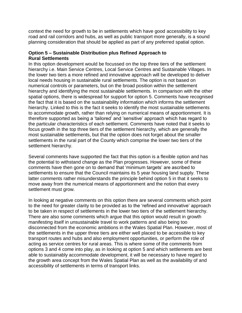context the need for growth to be in settlements which have good accessibility to key road and rail corridors and hubs, as well as public transport more generally, is a sound planning consideration that should be applied as part of any preferred spatial option.

### **Option 5 – Sustainable Distribution plus Refined Approach to Rural Settlements**

In this option development would be focussed on the top three tiers of the settlement hierarchy i.e. Main Service Centres, Local Service Centres and Sustainable Villages. In the lower two tiers a more refined and innovative approach will be developed to deliver local needs housing in sustainable rural settlements. The option is not based on numerical controls or parameters, but on the broad position within the settlement hierarchy and identifying the most sustainable settlements. In comparison with the other spatial options, there is widespread for support for option 5. Comments have recognised the fact that it is based on the sustainability information which informs the settlement hierarchy. Linked to this is the fact it seeks to identify the most sustainable settlements to accommodate growth, rather than relying on numerical means of apportionment. It is therefore supported as being a 'tailored' and 'sensitive' approach which has regard to the particular characteristics of each settlement. Comments have noted that it seeks to focus growth in the top three tiers of the settlement hierarchy, which are generally the most sustainable settlements, but that the option does not forget about the smaller settlements in the rural part of the County which comprise the lower two tiers of the settlement hierarchy.

Several comments have supported the fact that this option is a flexible option and has the potential to withstand change as the Plan progresses. However, some of these comments have then gone on to demand that 'minimum targets' are ascribed to settlements to ensure that the Council maintains its 5 year housing land supply. These latter comments rather misunderstands the principle behind option 5 in that it seeks to move away from the numerical means of apportionment and the notion that every settlement must grow.

In looking at negative comments on this option there are several comments which point to the need for greater clarity to be provided as to the 'refined and innovative' approach to be taken in respect of settlements in the lower two tiers of the settlement hierarchy. There are also some comments which argue that this option would result in growth manifesting itself in unsustainable travel to work patterns and also being too disconnected from the economic ambitions in the Wales Spatial Plan. However, most of the settlements in the upper three tiers are either well placed to be accessible to key transport routes and hubs and also employment opportunities, or perform the role of acting as service centres for rural areas. This is where some of the comments from options 3 and 4 come into play, as in looking at option 5 and which settlements are best able to sustainably accommodate development, it will be necessary to have regard to the growth area concept from the Wales Spatial Plan as well as the availability of and accessibility of settlements in terms of transport links.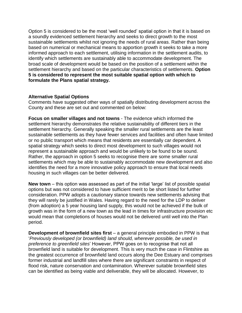Option 5 is considered to be the most 'well rounded' spatial option in that it is based on a soundly evidenced settlement hierarchy and seeks to direct growth to the most sustainable settlements whilst not ignoring the needs of rural areas. Rather than being based on numerical or mechanical means to apportion growth it seeks to take a more informed approach to each settlement, utilising information in the settlement audits, to identify which settlements are sustainably able to accommodate development. The broad scale of development would be based on the position of a settlement within the settlement hierarchy and based on the particular characteristics of settlements. **Option 5 is considered to represent the most suitable spatial option with which to formulate the Plans spatial strategy.**

#### **Alternative Spatial Options**

Comments have suggested other ways of spatially distributing development across the County and these are set out and commented on below:

**Focus on smaller villages and not towns** - The evidence which informed the settlement hierarchy demonstrates the relative sustainability of different tiers in the settlement hierarchy. Generally speaking the smaller rural settlements are the least sustainable settlements as they have fewer services and facilities and often have limited or no public transport which means that residents are essentially car dependent. A spatial strategy which seeks to direct most development to such villages would not represent a sustainable approach and would be unlikely to be found to be sound. Rather, the approach in option 5 seeks to recognise there are some smaller rural settlements which may be able to sustainably accommodate new development and also identifies the need for a more innovative policy approach to ensure that local needs housing in such villages can be better delivered.

**New town** – this option was assessed as part of the initial 'large' list of possible spatial options but was not considered to have sufficient merit to be short listed for further consideration. PPW adopts a cautionary stance towards new settlements advising that they will rarely be justified in Wales. Having regard to the need for the LDP to deliver (from adoption) a 5 year housing land supply, this would not be achieved if the bulk of growth was in the form of a new town as the lead in times for infrastructure provision etc would mean that completions of houses would not be delivered until well into the Plan period.

**Development of brownfield sites first** – a general principle embodied in PPW is that '*Previously developed (or brownfield) land should, wherever possible, be used in preference to greenfield sites*' However, PPW goes on to recognise that not all brownfield land is suitable for development. This is very much the case in Flintshire as the greatest occurrence of brownfield land occurs along the Dee Estuary and comprises former industrial and landfill sites where there are significant constraints in respect of flood risk, nature conservation and contamination. Wherever suitable brownfield sites can be identified as being viable and deliverable, they will be allocated. However, to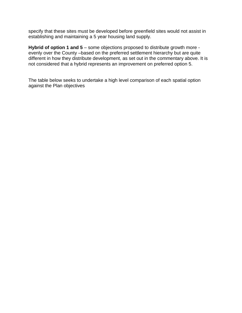specify that these sites must be developed before greenfield sites would not assist in establishing and maintaining a 5 year housing land supply.

**Hybrid of option 1 and 5** – some objections proposed to distribute growth more evenly over the County –based on the preferred settlement hierarchy but are quite different in how they distribute development, as set out in the commentary above. It is not considered that a hybrid represents an improvement on preferred option 5.

The table below seeks to undertake a high level comparison of each spatial option against the Plan objectives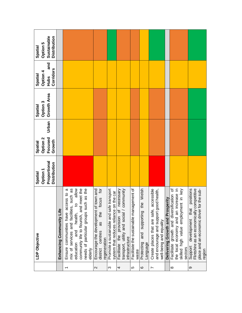| Sustainable<br><b>Distribution</b><br>Option 5<br>Spatial<br>and |                          |                                                                                                                                                                                                                      |                                                                                               |                                                                                             |                                                                                                            |                                                   |                                                         |                                                                                                                 |                                  |                                                                                                                                        |                                                                                                                                                       |
|------------------------------------------------------------------|--------------------------|----------------------------------------------------------------------------------------------------------------------------------------------------------------------------------------------------------------------|-----------------------------------------------------------------------------------------------|---------------------------------------------------------------------------------------------|------------------------------------------------------------------------------------------------------------|---------------------------------------------------|---------------------------------------------------------|-----------------------------------------------------------------------------------------------------------------|----------------------------------|----------------------------------------------------------------------------------------------------------------------------------------|-------------------------------------------------------------------------------------------------------------------------------------------------------|
| Corridors<br>Option 4<br>Spatial<br>Hubs                         |                          |                                                                                                                                                                                                                      |                                                                                               |                                                                                             |                                                                                                            |                                                   |                                                         |                                                                                                                 |                                  |                                                                                                                                        |                                                                                                                                                       |
| Growth Area<br>Option 3<br>Spatial                               |                          |                                                                                                                                                                                                                      |                                                                                               |                                                                                             |                                                                                                            |                                                   |                                                         |                                                                                                                 |                                  |                                                                                                                                        |                                                                                                                                                       |
| Urban                                                            |                          |                                                                                                                                                                                                                      |                                                                                               |                                                                                             |                                                                                                            |                                                   |                                                         |                                                                                                                 |                                  |                                                                                                                                        |                                                                                                                                                       |
| Focused<br>Option 2<br>Growth<br>Spatial                         |                          |                                                                                                                                                                                                                      |                                                                                               |                                                                                             |                                                                                                            |                                                   |                                                         |                                                                                                                 |                                  |                                                                                                                                        |                                                                                                                                                       |
| Proportional<br><b>Distribution</b><br>Option 1<br>Spatial       |                          |                                                                                                                                                                                                                      |                                                                                               |                                                                                             |                                                                                                            |                                                   |                                                         |                                                                                                                 |                                  |                                                                                                                                        |                                                                                                                                                       |
| LDP Objective                                                    | Enhancing Community Life | mix of services and facilities, such as<br>to allow<br>needs of particular groups such as the<br>Ensure communities have access to a<br>community life to flourish, and meet the<br>education and health,<br>elderly | focus for<br>Encourage the development of town and<br>district centres as the<br>regeneration | fe transport<br>on the car<br>Promote a sustainable and sar<br>system that reduces reliance | necessary<br>community<br>transport, utility and social /<br>Facilitate the provision of<br>infrastructure | Facilitate the sustainable management of<br>waste | the Welsh<br>supporting<br>and<br>Protecting<br>anguage | accessible<br>and encourage and support good health,<br>Create places that are safe,<br>well-being and equality | Delivering Growth and Prosperity | Facilitate growth and diversification of<br>increase in<br>skilled high value employment in key<br>the local economy and an<br>sectors | competitive<br>positions<br>for the sub-<br>that<br>Flintshire as an economically<br>place and an economic driver<br>development<br>Support<br>region |
|                                                                  |                          | $\overline{\phantom{0}}$                                                                                                                                                                                             | $\mathbf{\Omega}$                                                                             | S                                                                                           | 4                                                                                                          | 5                                                 | $\circ$                                                 | Ľ                                                                                                               |                                  | $^{\circ}$                                                                                                                             | တ                                                                                                                                                     |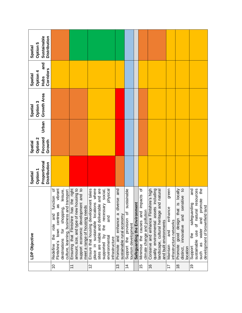| Sustainable<br><b>Distribution</b><br>Option 5<br>Spatial  |                                                                                                                                                                                             |                                                                                                                                                                    |                                                                                                                                                                                                                             |                                                                                       |                                                                |                                  |                                                                            |                                                                                                                                                        |                                                                |                                                                                                      |                                                                                                                                                                        |
|------------------------------------------------------------|---------------------------------------------------------------------------------------------------------------------------------------------------------------------------------------------|--------------------------------------------------------------------------------------------------------------------------------------------------------------------|-----------------------------------------------------------------------------------------------------------------------------------------------------------------------------------------------------------------------------|---------------------------------------------------------------------------------------|----------------------------------------------------------------|----------------------------------|----------------------------------------------------------------------------|--------------------------------------------------------------------------------------------------------------------------------------------------------|----------------------------------------------------------------|------------------------------------------------------------------------------------------------------|------------------------------------------------------------------------------------------------------------------------------------------------------------------------|
| and<br>Corridors<br>Option 4<br>Spatial<br>Hubs            |                                                                                                                                                                                             |                                                                                                                                                                    |                                                                                                                                                                                                                             |                                                                                       |                                                                |                                  |                                                                            |                                                                                                                                                        |                                                                |                                                                                                      |                                                                                                                                                                        |
| Growth Area<br>Option 3<br>Spatial                         |                                                                                                                                                                                             |                                                                                                                                                                    |                                                                                                                                                                                                                             |                                                                                       |                                                                |                                  |                                                                            |                                                                                                                                                        |                                                                |                                                                                                      |                                                                                                                                                                        |
| Urban                                                      |                                                                                                                                                                                             |                                                                                                                                                                    |                                                                                                                                                                                                                             |                                                                                       |                                                                |                                  |                                                                            |                                                                                                                                                        |                                                                |                                                                                                      |                                                                                                                                                                        |
| Focused<br>Option 2<br>Growth<br>Spatial                   |                                                                                                                                                                                             |                                                                                                                                                                    |                                                                                                                                                                                                                             |                                                                                       |                                                                |                                  |                                                                            |                                                                                                                                                        |                                                                |                                                                                                      |                                                                                                                                                                        |
| Proportional<br><b>Distribution</b><br>Option 1<br>Spatial |                                                                                                                                                                                             |                                                                                                                                                                    |                                                                                                                                                                                                                             |                                                                                       |                                                                |                                  |                                                                            |                                                                                                                                                        |                                                                |                                                                                                      |                                                                                                                                                                        |
| LDP Objective                                              | vibrant<br>৳<br>leisure,<br>culture, learning, business and transport<br>function<br>æ<br>shopping,<br>town centres<br>and<br>ple<br>ior<br>the<br>destinations<br>Flintshire's<br>Redefine | Ensuring that Flintshire has the right<br>housing to<br>support economic development and to<br>őξ<br>amount, size, and type of new<br>meet a range of housing neec | Ensure that housing development takes<br>place in sustainable locations where<br>sites are viable and deliverable and are<br>physical<br>necessary social,<br>and<br>the<br>supported by<br>environmental<br>infrastructure | and<br>iverse<br>$\bar{\sigma}$<br>Promote and enhance a<br>sustainable rural economy | sustainable<br>Support the provision of<br>tourism development | ent<br>Safeguarding the Environm | ৳<br>impacts<br>climate change and pollution<br>and<br>Minimise the causes | Conserve and enhance Flintshire's high<br>quality environmental assets including<br>landscape, cultural heritage and natural<br>and built environments | green<br>enhance<br>infrastructure networks<br>and<br>Maintain | is locally<br>and sensitive to<br>good design that<br>innovative<br>Promote<br>location<br>distinct, | and<br>the<br>resources<br>and promote<br>safeguarding<br>p<br>development of brownfield lar<br>of natural<br>water<br>sustainable use<br>the<br>as<br>Support<br>such |
|                                                            | $\overline{C}$                                                                                                                                                                              | $\overline{1}$                                                                                                                                                     | 12                                                                                                                                                                                                                          | $\frac{3}{2}$                                                                         | $\overline{4}$                                                 |                                  | 15                                                                         | $\frac{6}{5}$                                                                                                                                          | 17                                                             | $\frac{8}{3}$                                                                                        | $\frac{0}{2}$                                                                                                                                                          |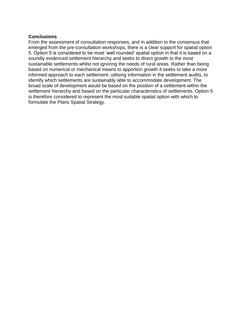### **Conclusions**

From the assessment of consultation responses, and in addition to the consensus that emerged from the pre-consultation workshops, there is a clear support for spatial option 5. Option 5 is considered to be most 'well rounded' spatial option in that it is based on a soundly evidenced settlement hierarchy and seeks to direct growth to the most sustainable settlements whilst not ignoring the needs of rural areas. Rather than being based on numerical or mechanical means to apportion growth it seeks to take a more informed approach to each settlement, utilising information in the settlement audits, to identify which settlements are sustainably able to accommodate development. The broad scale of development would be based on the position of a settlement within the settlement hierarchy and based on the particular characteristics of settlements. Option 5 is therefore considered to represent the most suitable spatial option with which to formulate the Plans Spatial Strategy.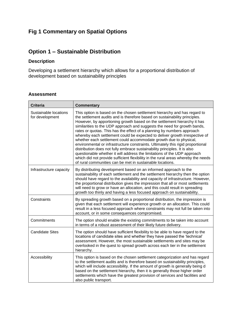### **Fig 1 Commentary on Spatial Options**

### **Option 1 – Sustainable Distribution**

### **Description**

Developing a settlement hierarchy which allows for a proportional distribution of development based on sustainability principles

### **Assessment**

| <b>Criteria</b>                          | <b>Commentary</b>                                                                                                                                                                                                                                                                                                                                                                                                                                                                                                                                                                                                                                                                                                                                                                                                                                                                                                                           |
|------------------------------------------|---------------------------------------------------------------------------------------------------------------------------------------------------------------------------------------------------------------------------------------------------------------------------------------------------------------------------------------------------------------------------------------------------------------------------------------------------------------------------------------------------------------------------------------------------------------------------------------------------------------------------------------------------------------------------------------------------------------------------------------------------------------------------------------------------------------------------------------------------------------------------------------------------------------------------------------------|
| Sustainable locations<br>for development | This option is based on the chosen settlement hierarchy and has regard to<br>the settlement audits and is therefore based on sustainability principles.<br>However, by apportioning growth based on the settlement hierarchy it has<br>similarities to the UDP approach and suggests the need for growth bands,<br>rates or quotas. This has the effect of a planning by numbers approach<br>whereby each settlement could be expected to deliver growth irrespective of<br>whether each settlement could accommodate growth due to physical,<br>environmental or infrastructure constraints. Ultimately this rigid proportional<br>distribution does not fully embrace sustainability principles. It is also<br>questionable whether it will address the limitations of the UDP approach<br>which did not provide sufficient flexibility in the rural areas whereby the needs<br>of rural communities can be met in sustainable locations. |
| Infrastructure capacity                  | By distributing development based on an informed approach to the<br>sustainability of each settlement and the settlement hierarchy then the option<br>should have regard to the availability and capacity of infrastructure. However,<br>the proportional distribution gives the impression that all or most settlements<br>will need to grow or have an allocation, and this could result in spreading<br>growth too thinly and having a less focused approach on sustainability.                                                                                                                                                                                                                                                                                                                                                                                                                                                          |
| Constraints                              | By spreading growth based on a proportional distribution, the impression is<br>given that each settlement will experience growth or an allocation. This could<br>result in a less focused approach where constraints may not full be taken into<br>account, or in some consequences compromised.                                                                                                                                                                                                                                                                                                                                                                                                                                                                                                                                                                                                                                            |
| Commitments                              | The option should enable the existing commitments to be taken into account<br>in terms of a robust assessment of their likely future delivery.                                                                                                                                                                                                                                                                                                                                                                                                                                                                                                                                                                                                                                                                                                                                                                                              |
| <b>Candidate Sites</b>                   | The option should have sufficient flexibility to be able to have regard to the<br>locations of candidate sites and whether they have passed the 'technical'<br>assessment. However, the most sustainable settlements and sites may be<br>overlooked in the quest to spread growth across each tier in the settlement<br>hierarchy.                                                                                                                                                                                                                                                                                                                                                                                                                                                                                                                                                                                                          |
| Accessibility                            | This option is based on the chosen settlement categorization and has regard<br>to the settlement audits and is therefore based on sustainability principles,<br>which will include accessibility. If the amount of growth is generally being d<br>based on the settlement hierarchy, then it is generally those higher order<br>settlements which have the greatest provision of services and facilities and<br>also public transport.                                                                                                                                                                                                                                                                                                                                                                                                                                                                                                      |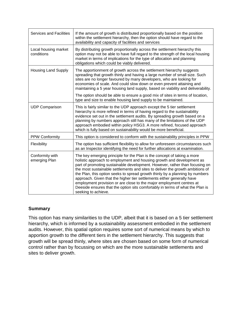| <b>Services and Facilities</b>     | If the amount of growth is distributed proportionally based on the position<br>within the settlement hierarchy, then the option should have regard to the<br>availability and capacity of facilities and services                                                                                                                                                                                                                                                                                                                                                                                                                                          |
|------------------------------------|------------------------------------------------------------------------------------------------------------------------------------------------------------------------------------------------------------------------------------------------------------------------------------------------------------------------------------------------------------------------------------------------------------------------------------------------------------------------------------------------------------------------------------------------------------------------------------------------------------------------------------------------------------|
| Local housing market<br>conditions | By distributing growth proportionally across the settlement hierarchy this<br>option may not be able to have full regard to the strength of the local housing<br>market in terms of implications for the type of allocation and planning<br>obligations which could be viably delivered.                                                                                                                                                                                                                                                                                                                                                                   |
| <b>Housing Land Supply</b>         | The apportionment of growth across the settlement hierarchy suggests<br>spreading that growth thinly and having a large number of small size. Such<br>sites are no longer favoured by many developers, who are looking for<br>economies of scale. And could slow down or even prevent attaining and<br>maintaining a 5 year housing land supply, based on viability and deliverability.                                                                                                                                                                                                                                                                    |
|                                    | The option should be able to ensure a good mix of sites in terms of location,<br>type and size to enable housing land supply to be maintained.                                                                                                                                                                                                                                                                                                                                                                                                                                                                                                             |
| <b>UDP Comparison</b>              | This is fairly similar to the UDP approach except the 5 tier settlement<br>hierarchy is more refined in terms of having regard to the sustainability<br>evidence set out in the settlement audits. By spreading growth based on a<br>planning by numbers approach still has many of the limitations of the UDP<br>approach embodied within policy HSG3. A more refined, focused approach<br>which is fully based on sustainability would be more beneficial.                                                                                                                                                                                               |
| PPW Conformity                     | This option is considered to conform with the sustainability principles in PPW                                                                                                                                                                                                                                                                                                                                                                                                                                                                                                                                                                             |
| Flexibility                        | The option has sufficient flexibility to allow for unforeseen circumstances such<br>as an Inspector identifying the need for further allocations at examination.                                                                                                                                                                                                                                                                                                                                                                                                                                                                                           |
| Conformity with<br>emerging Plan   | The key emerging principle for the Plan is the concept of taking a more<br>holistic approach to employment and housing growth and development as<br>part of promoting sustainable development. However, rather than focusing on<br>the most sustainable settlements and sites to deliver the growth ambitions of<br>the Plan, this option seeks to spread growth thinly by a planning by numbers<br>approach. Given that the higher tier settlements either generally have<br>employment provision or are close to the major employment centres at<br>Deeside ensures that the option sits comfortably in terms of what the Plan is<br>seeking to achieve. |

### **Summary**

This option has many similarities to the UDP, albeit that it is based on a 5 tier settlement hierarchy, which is informed by a sustainability assessment embodied in the settlement audits. However, this spatial option requires some sort of numerical means by which to apportion growth to the different tiers in the settlement hierarchy. This suggests that growth will be spread thinly, where sites are chosen based on some form of numerical control rather than by focussing on which are the more sustainable settlements and sites to deliver growth.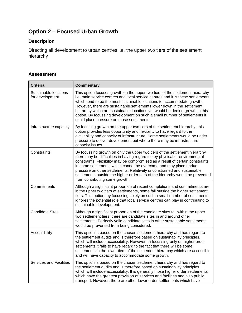### **Option 2 – Focused Urban Growth**

### **Description**

Directing all development to urban centres i.e. the upper two tiers of the settlement hierarchy

### **Assessment**

| <b>Criteria</b>                          | <b>Commentary</b>                                                                                                                                                                                                                                                                                                                                                                                                                                                                                                                |
|------------------------------------------|----------------------------------------------------------------------------------------------------------------------------------------------------------------------------------------------------------------------------------------------------------------------------------------------------------------------------------------------------------------------------------------------------------------------------------------------------------------------------------------------------------------------------------|
| Sustainable locations<br>for development | This option focuses growth on the upper two tiers of the settlement hierarchy<br>i.e. main service centres and local service centres and it is these settlements<br>which tend to be the most sustainable locations to accommodate growth.<br>However, there are sustainable settlements lower down in the settlement<br>hierarchy which are sustainable locations yet would be denied growth in this<br>option. By focussing development on such a small number of settlements it<br>could place pressure on those settlements. |
| Infrastructure capacity                  | By focusing growth on the upper two tiers of the settlement hierarchy, this<br>option provides less opportunity and flexibility to have regard to the<br>availability and capacity of infrastructure. Some settlements would be under<br>pressure to deliver development but where there may be infrastructure<br>capacity issues.                                                                                                                                                                                               |
| Constraints                              | By focussing growth on only the upper two tiers of the settlement hierarchy<br>there may be difficulties in having regard to key physical or environmental<br>constraints. Flexibility may be compromised as a result of certain constraints<br>in some settlements which cannot be overcome and may place undue<br>pressure on other settlements. Relatively unconstrained and sustainable<br>settlements outside the higher order tiers of the hierarchy would be prevented<br>from contributing some growth.                  |
| Commitments                              | Although a significant proportion of recent completions and commitments are<br>in the upper two tiers of settlements, some fall outside the higher settlement<br>tiers. This option, by focussing solely on such a small number of settlements,<br>ignores the potential role that local service centres can play in contributing to<br>sustainable development.                                                                                                                                                                 |
| <b>Candidate Sites</b>                   | Although a significant proportion of the candidate sites fall within the upper<br>two settlement tiers, there are candidate sites in and around other<br>settlements. Perfectly valid candidate sites in other sustainable settlements<br>would be prevented from being considered.                                                                                                                                                                                                                                              |
| Accessibility                            | This option is based on the chosen settlement hierarchy and has regard to<br>the settlement audits and is therefore based on sustainability principles,<br>which will include accessibility. However, in focussing only on higher order<br>settlements it fails to have regard to the fact that there will be some<br>settlements in the lower tiers of the settlement hierarchy which are accessible<br>and will have capacity to accommodate some growth.                                                                      |
| <b>Services and Facilities</b>           | This option is based on the chosen settlement hierarchy and has regard to<br>the settlement audits and is therefore based on sustainability principles,<br>which will include accessibility. It is generally those higher order settlements<br>which have the greatest provision of services and facilities and also public<br>transport. However, there are other lower order settlements which have                                                                                                                            |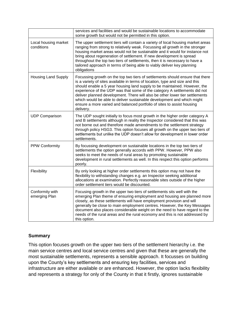|                                    | services and facilities and would be sustainable locations to accommodate<br>some growth but would not be permitted in this option.                                                                                                                                                                                                                                                                                                                                                                                                                                      |
|------------------------------------|--------------------------------------------------------------------------------------------------------------------------------------------------------------------------------------------------------------------------------------------------------------------------------------------------------------------------------------------------------------------------------------------------------------------------------------------------------------------------------------------------------------------------------------------------------------------------|
| Local housing market<br>conditions | The upper settlement tiers will contain a variety of local housing market areas<br>ranging from strong to relatively weak. Focussing all growth in the stronger<br>housing market areas would not be sustainable and it would for instance not<br>bring about regeneration of settlement. If new development is spread<br>throughout the top two tiers of settlements, then it is necessary to have a<br>tailored approach in terms of being able to viably deliver key planning<br>obligations                                                                          |
| <b>Housing Land Supply</b>         | Focussing growth on the top two tiers of settlements should ensure that there<br>is a variety of sites available in terms of location, type and size and this<br>should enable a 5 year housing land supply to be maintained. However, the<br>experience of the UDP was that some of the category A settlements did not<br>deliver planned development. There will also be other lower tier settlements<br>which would be able to deliver sustainable development and which might<br>ensure a more varied and balanced portfolio of sites to assist housing<br>delivery. |
| <b>UDP Comparison</b>              | The UDP sought initially to focus most growth in the higher order category A<br>and B settlements although in reality the Inspector considered that this was<br>not borne out and therefore made amendments to the settlement strategy<br>through policy HSG3. This option focuses all growth on the upper two tiers of<br>settlements but unlike the UDP doesn't allow for development in lower order<br>settlements.                                                                                                                                                   |
| <b>PPW Conformity</b>              | By focussing development on sustainable locations in the top two tiers of<br>settlements the option generally accords with PPW. However, PPW also<br>seeks to meet the needs of rural areas by promoting sustainable<br>development in rural settlements as well. In this respect this option performs<br>poorly.                                                                                                                                                                                                                                                        |
| Flexibility                        | By only looking at higher order settlements this option may not have the<br>flexibility to withstanding changes e.g. an Inspector seeking additional<br>allocations at examination. Perfectly reasonable sites outside of the higher<br>order settlement tiers would be discounted.                                                                                                                                                                                                                                                                                      |
| Conformity with<br>emerging Plan   | Focusing growth in the upper two tiers of settlements sits well with the<br>emerging Plan theme of ensuring employment and housing are planned more<br>closely, as these settlements will have employment provision and will<br>generally be close to main employment centres. However, the Key Messages<br>document also places considerable weight on the need to have regard to the<br>needs of the rural areas and the rural economy and this is not addressed by<br>this option.                                                                                    |

### **Summary**

This option focuses growth on the upper two tiers of the settlement hierarchy i.e. the main service centres and local service centres and given that these are generally the most sustainable settlements, represents a sensible approach. It focusses on building upon the County's key settlements and ensuring key facilities, services and infrastructure are either available or are enhanced. However, the option lacks flexibility and represents a strategy for only of the County in that it firstly, ignores sustainable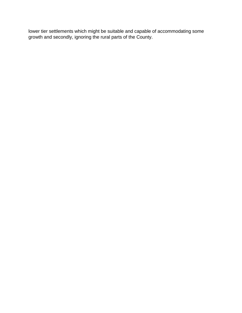lower tier settlements which might be suitable and capable of accommodating some growth and secondly, ignoring the rural parts of the County.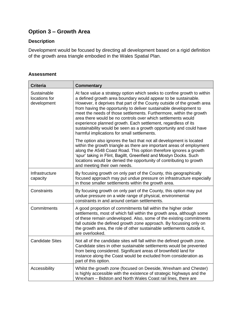### **Option 3 – Growth Area**

### **Description**

Development would be focused by directing all development based on a rigid definition of the growth area triangle embodied in the Wales Spatial Plan.

### **Assessment**

| <b>Criteria</b>                             | <b>Commentary</b>                                                                                                                                                                                                                                                                                                                                                                                                                                                                                                                                                                                                       |
|---------------------------------------------|-------------------------------------------------------------------------------------------------------------------------------------------------------------------------------------------------------------------------------------------------------------------------------------------------------------------------------------------------------------------------------------------------------------------------------------------------------------------------------------------------------------------------------------------------------------------------------------------------------------------------|
| Sustainable<br>locations for<br>development | At face value a strategy option which seeks to confine growth to within<br>a defined growth area boundary would appear to be sustainable.<br>However, it deprives that part of the County outside of the growth area<br>from having the opportunity to deliver sustainable development to<br>meet the needs of those settlements. Furthermore, within the growth<br>area there would be no controls over which settlements would<br>experience planned growth. Each settlement, regardless of its<br>sustainability would be seen as a growth opportunity and could have<br>harmful implications for small settlements. |
|                                             | The option also ignores the fact that not all development is located<br>within the growth triangle as there are important areas of employment<br>along the A548 Coast Road. This option therefore ignores a growth<br>'spur' taking in Flint, Bagillt, Greenfield and Mostyn Docks. Such<br>locations would be denied the opportunity of contributing to growth<br>and meeting their own needs.                                                                                                                                                                                                                         |
| Infrastructure<br>capacity                  | By focusing growth on only part of the County, this geographically<br>focused approach may put undue pressure on infrastructure especially<br>in those smaller settlements within the growth area.                                                                                                                                                                                                                                                                                                                                                                                                                      |
| Constraints                                 | By focusing growth on only part of the County, this option may put<br>undue pressure on a wide range of physical, environmental<br>constraints in and around certain settlements.                                                                                                                                                                                                                                                                                                                                                                                                                                       |
| Commitments                                 | A good proportion of commitments fall within the higher order<br>settlements, most of which fall within the growth area, although some<br>of these remain undeveloped. Also, some of the existing commitments<br>fall outside the defined growth zone approach. By focussing only on<br>the growth area, the role of other sustainable settlements outside it,<br>are overlooked.                                                                                                                                                                                                                                       |
| <b>Candidate Sites</b>                      | Not all of the candidate sites will fall within the defined growth zone.<br>Candidate sites in other sustainable settlements would be prevented<br>from being considered. Significant areas of brownfield land for<br>instance along the Coast would be excluded from consideration as<br>part of this option.                                                                                                                                                                                                                                                                                                          |
| Accessibility                               | Whilst the growth zone (focused on Deeside, Wrexham and Chester)<br>is highly accessible with the existence of strategic highways and the<br>Wrexham - Bidston and North Wales Coast rail lines, there are                                                                                                                                                                                                                                                                                                                                                                                                              |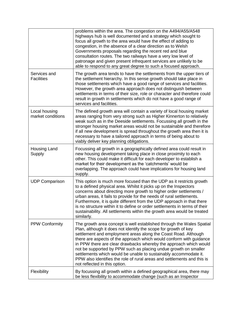|                                    | problems within the area. The congestion on the A494/A55/A548<br>highways hub is well documented and a strategy which sought to<br>focus all growth to the area would have the effect of adding to<br>congestion, in the absence of a clear direction as to Welsh<br>Governments proposals regarding the recent red and blue<br>consultation routes. The two railways have a very low level of<br>patronage and given present infrequent services are unlikely to be<br>able to respond to any great degree to such a focused approach.                                                                   |
|------------------------------------|-----------------------------------------------------------------------------------------------------------------------------------------------------------------------------------------------------------------------------------------------------------------------------------------------------------------------------------------------------------------------------------------------------------------------------------------------------------------------------------------------------------------------------------------------------------------------------------------------------------|
| Services and<br><b>Facilities</b>  | The growth area tends to have the settlements from the upper tiers of<br>the settlement hierarchy. In this sense growth should take place in<br>those settlements which have a good range of services and facilities.<br>However, the growth area approach does not distinguish between<br>settlements in terms of their size, role or character and therefore could<br>result in growth in settlements which do not have a good range of<br>services and facilities.                                                                                                                                     |
| Local housing<br>market conditions | The defined growth area will contain a variety of local housing market<br>areas ranging from very strong such as Higher Kinnerton to relatively<br>weak such as in the Deeside settlements. Focussing all growth in the<br>stronger housing market areas would not be sustainable and therefore<br>if all new development is spread throughout the growth area then it is<br>necessary to have a tailored approach in terms of being about to<br>viably deliver key planning obligations.                                                                                                                 |
| Housing Land<br>Supply             | Focussing all growth in a geographically defined area could result in<br>new housing development taking place in close proximity to each<br>other. This could make it difficult for each developer to establish a<br>market for their development as the 'catchments' would be<br>overlapping. The approach could have implications for housing land<br>supply.                                                                                                                                                                                                                                           |
| <b>UDP Comparison</b>              | This option is much more focused than the UDP as it restricts growth<br>to a defined physical area. Whilst it picks up on the Inspectors<br>concerns about directing more growth to higher order settlements /<br>urban areas, it fails to provide for the needs of rural settlements.<br>Furthermore, it is quite different from the UDP approach in that there<br>is no structure within it to define or order settlements in terms of their<br>sustainability. All settlements within the growth area would be treated<br>similarly.                                                                   |
| <b>PPW Conformity</b>              | The growth area concept is well established through the Wales Spatial<br>Plan, although it does not identify the scope for growth of key<br>settlement and employment areas along the Coast Road. Although<br>there are aspects of the approach which would conform with guidance<br>in PPW there are clear drawbacks whereby the approach which would<br>not be supported by PPW such as placing undue growth on smaller<br>settlements which would be unable to sustainably accommodate it.<br>PPW also identifies the role of rural areas and settlements and this is<br>not reflected in this option. |
| Flexibility                        | By focussing all growth within a defined geographical area, there may<br>be less flexibility to accommodate change (such as an Inspector                                                                                                                                                                                                                                                                                                                                                                                                                                                                  |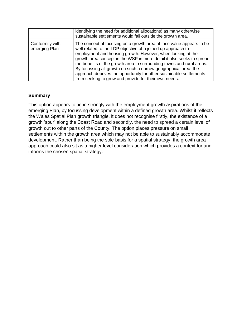|                                  | identifying the need for additional allocations) as many otherwise<br>sustainable settlements would fall outside the growth area.                                                                                                                                                                                                                                                                                                                                                                                                                        |
|----------------------------------|----------------------------------------------------------------------------------------------------------------------------------------------------------------------------------------------------------------------------------------------------------------------------------------------------------------------------------------------------------------------------------------------------------------------------------------------------------------------------------------------------------------------------------------------------------|
| Conformity with<br>emerging Plan | The concept of focusing on a growth area at face value appears to be<br>well related to the LDP objective of a joined up approach to<br>employment and housing growth. However, when looking at the<br>growth area concept in the WSP in more detail it also seeks to spread<br>the benefits of the growth area to surrounding towns and rural areas.<br>By focussing all growth on such a narrow geographical area, the<br>approach deprives the opportunity for other sustainable settlements<br>from seeking to grow and provide for their own needs. |

### **Summary**

This option appears to tie in strongly with the employment growth aspirations of the emerging Plan, by focussing development within a defined growth area. Whilst it reflects the Wales Spatial Plan growth triangle, it does not recognise firstly, the existence of a growth 'spur' along the Coast Road and secondly, the need to spread a certain level of growth out to other parts of the County. The option places pressure on small settlements within the growth area which may not be able to sustainably accommodate development. Rather than being the sole basis for a spatial strategy, the growth area approach could also sit as a higher level consideration which provides a context for and informs the chosen spatial strategy.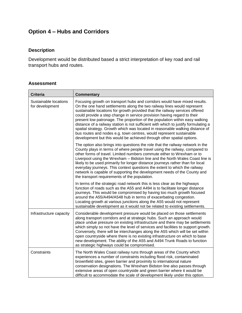### **Option 4 – Hubs and Corridors**

### **Description**

Development would be distributed based a strict interpretation of key road and rail transport hubs and routes.

#### **Assessment**

| <b>Criteria</b>                          | <b>Commentary</b>                                                                                                                                                                                                                                                                                                                                                                                                                                                                                                                                                                                                                                                                                                    |
|------------------------------------------|----------------------------------------------------------------------------------------------------------------------------------------------------------------------------------------------------------------------------------------------------------------------------------------------------------------------------------------------------------------------------------------------------------------------------------------------------------------------------------------------------------------------------------------------------------------------------------------------------------------------------------------------------------------------------------------------------------------------|
| Sustainable locations<br>for development | Focusing growth on transport hubs and corridors would have mixed results.<br>On the one hand settlements along the two railway lines would represent<br>sustainable locations for growth provided that the railway services offered<br>could provide a step change in service provision having regard to their<br>present low patronage. The proportion of the population within easy walking<br>distance of a railway station is not sufficient with which to justify formulating a<br>spatial strategy. Growth which was located in reasonable walking distance of<br>bus routes and nodes e.g. town centres, would represent sustainable<br>development but this would be achieved through other spatial options. |
|                                          | The option also brings into questions the role that the railway network in the<br>County plays in terms of where people travel using the railway, compared to<br>other forms of travel. Limited numbers commute either to Wrexham or to<br>Liverpool using the Wrexham - Bidston line and the North Wales Coast line is<br>likely to be used primarily for longer distance journeys rather than for local<br>everyday journeys. This context questions the extent to which the railway<br>network is capable of supporting the development needs of the County and<br>the transport requirements of the population.                                                                                                  |
|                                          | In terms of the strategic road network this is less clear as the highways<br>function of roads such as the A55 and A494 is to facilitate longer distance<br>journeys. This would be compromised by having too much growth focused<br>around the A55/A494/A548 hub in terms of exacerbating congestion.<br>Locating growth at various junctions along the A55 would not represent<br>sustainable development as it would not be related to existing settlements.                                                                                                                                                                                                                                                      |
| Infrastructure capacity                  | Considerable development pressure would be placed on those settlements<br>along transport corridors and at strategic hubs. Such an approach would<br>place undue pressure on existing infrastructure and there may be settlements<br>which simply so not have the level of services and facilities to support growth.<br>Conversely, there will be interchanges along the A55 which will be set within<br>open countryside where there is no existing infrastructure on which to base<br>new development. The ability of the A55 and A494 Trunk Roads to function<br>as strategic highways could be compromised.                                                                                                     |
| Constraints                              | The North Wales Coast railway runs through areas of the County which<br>experiences a number of constraints including flood risk, contaminated<br>brownfield sites, green barrier and proximity to international nature<br>conservation designations. The Wrexham Bidston line also passes through<br>extensive areas of open countryside and green barrier where it would be<br>difficult to accommodate the scale of development likely under this option.                                                                                                                                                                                                                                                         |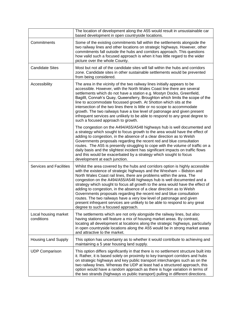|                                    | The location of development along the A55 would result in unsustainable car<br>based development in open countryside locations.                                                                                                                                                                                                                                                                                                                                                                                                                                                                                                                                                                                                            |
|------------------------------------|--------------------------------------------------------------------------------------------------------------------------------------------------------------------------------------------------------------------------------------------------------------------------------------------------------------------------------------------------------------------------------------------------------------------------------------------------------------------------------------------------------------------------------------------------------------------------------------------------------------------------------------------------------------------------------------------------------------------------------------------|
| Commitments                        | Some of the existing commitments fall within the settlements alongside the<br>two railway lines and other locations on strategic highways. However, other<br>commitments fall outside the hubs and corridors approach. This questions<br>how valid such a focused approach is when it has little regard to the wider<br>picture over the whole County.                                                                                                                                                                                                                                                                                                                                                                                     |
| <b>Candidate Sites</b>             | Most but not all of the candidate sites will fall within the hubs and corridors<br>zone. Candidate sites in other sustainable settlements would be prevented<br>from being considered.                                                                                                                                                                                                                                                                                                                                                                                                                                                                                                                                                     |
| Accessibility                      | The area in the vicinity of the two railway lines initially appears to be<br>accessible. However, with the North Wales Coast line there are several<br>settlements which do not have a station e.g. Mostyn Docks, Greenfield,<br>Bagillt, Connah's Quay, Queensferry, Broughton which limits the scope of the<br>line to accommodate focussed growth. At Shotton which sits at the<br>intersection of the two lines there is little or no scope to accommodate<br>growth. The two railways have a low level of patronage and given present<br>infrequent services are unlikely to be able to respond to any great degree to<br>such a focused approach to growth.                                                                          |
|                                    | The congestion on the A494/A55/A548 highways hub is well documented and<br>a strategy which sought to focus growth to the area would have the effect of<br>adding to congestion, in the absence of a clear direction as to Welsh<br>Governments proposals regarding the recent red and blue consultation<br>routes. The A55 is presently struggling to cope with the volume of traffic on a<br>daily basis and the slightest incident has significant impacts on traffic flows<br>and this would be exacerbated by a strategy which sought to focus<br>development at each junction.                                                                                                                                                       |
| <b>Services and Facilities</b>     | Whilst the area covered by the hubs and corridors option is highly accessible<br>with the existence of strategic highways and the Wrexham - Bidston and<br>North Wales Coast rail lines, there are problems within the area. The<br>congestion on the A494/A55/A548 highways hub is well documented and a<br>strategy which sought to focus all growth to the area would have the effect of<br>adding to congestion, in the absence of a clear direction as to Welsh<br>Governments proposals regarding the recent red and blue consultation<br>routes. The two railways have a very low level of patronage and given<br>present infrequent services are unlikely to be able to respond to any great<br>degree to such a focused approach. |
| Local housing market<br>conditions | The settlements which are not only alongside the railway lines, but also<br>having stations will feature a mix of housing market areas. By contrast,<br>locating all development at locations along the strategic highways, particularly<br>in open countryside locations along the A55 would be in strong market areas<br>and attractive to the market.                                                                                                                                                                                                                                                                                                                                                                                   |
| <b>Housing Land Supply</b>         | This option has uncertainty as to whether it would contribute to achieving and<br>maintaining a 5 year housing land supply.                                                                                                                                                                                                                                                                                                                                                                                                                                                                                                                                                                                                                |
| <b>UDP Comparison</b>              | This option differs significantly in that there is no settlement structure built into<br>it. Rather, it is based solely on proximity to key transport corridors and hubs<br>on strategic highways and key public transport interchanges such as on the<br>two railway lines. Whereas the UDP at least had a structured approach, this<br>option would have a random approach as there is huge variation in terms of<br>the two strands (highways vs public transport) pulling in different directions.                                                                                                                                                                                                                                     |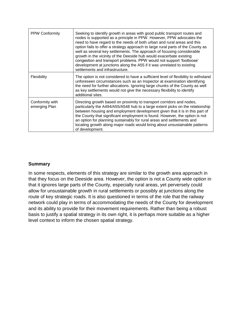| <b>PPW Conformity</b>            | Seeking to identify growth in areas with good public transport routes and<br>nodes is supported as a principle in PPW. However, PPW advocates the<br>need to have regard to the needs of both urban and rural areas and this<br>option fails to offer a strategy approach to large rural parts of the County as<br>well as several key settlements. The approach of focusing considerable<br>growth in the vicinity of the Deeside hub would exacerbate existing<br>congestion and transport problems. PPW would not support 'footloose'<br>development at junctions along the A55 if it was unrelated to existing<br>settlements and infrastructure. |
|----------------------------------|-------------------------------------------------------------------------------------------------------------------------------------------------------------------------------------------------------------------------------------------------------------------------------------------------------------------------------------------------------------------------------------------------------------------------------------------------------------------------------------------------------------------------------------------------------------------------------------------------------------------------------------------------------|
| Flexibility                      | The option is not considered to have a sufficient level of flexibility to withstand<br>unforeseen circumstances such as an Inspector at examination identifying<br>the need for further allocations. Ignoring large chunks of the County as well<br>as key settlements would not give the necessary flexibility to identify<br>additional sites.                                                                                                                                                                                                                                                                                                      |
| Conformity with<br>emerging Plan | Directing growth based on proximity to transport corridors and nodes,<br>particularly the A494/A55/A548 hub to a large extent picks on the relationship<br>between housing and employment development given that it is in this part of<br>the County that significant employment is found. However, the option is not<br>an option for planning sustainably for rural areas and settlements and<br>locating growth along major roads would bring about unsustainable patterns<br>of development.                                                                                                                                                      |

### **Summary**

In some respects, elements of this strategy are similar to the growth area approach in that they focus on the Deeside area. However, the option is not a County wide option in that it ignores large parts of the County, especially rural areas, yet perversely could allow for unsustainable growth in rural settlements or possibly at junctions along the route of key strategic roads. It is also questioned in terms of the role that the railway network could play in terms of accommodating the needs of the County for development and its ability to provide for their movement requirements. Rather than being a robust basis to justify a spatial strategy in its own right, it is perhaps more suitable as a higher level context to inform the chosen spatial strategy.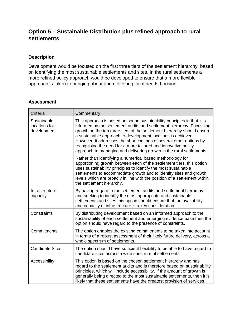### **Option 5 – Sustainable Distribution plus refined approach to rural settlements**

### **Description**

Development would be focused on the first three tiers of the settlement hierarchy, based on identifying the most sustainable settlements and sites. In the rural settlements a more refined policy approach would be developed to ensure that a more flexible approach is taken to bringing about and delivering local needs housing.

### **Assessment**

| Criteria                                    | Commentary                                                                                                                                                                                                                                                                                                                                                                                                                                                                                                  |
|---------------------------------------------|-------------------------------------------------------------------------------------------------------------------------------------------------------------------------------------------------------------------------------------------------------------------------------------------------------------------------------------------------------------------------------------------------------------------------------------------------------------------------------------------------------------|
| Sustainable<br>locations for<br>development | This approach is based on sound sustainability principles in that it is<br>informed by the settlement audits and settlement hierarchy. Focussing<br>growth on the top three tiers of the settlement hierarchy should ensure<br>a sustainable approach to development locations is achieved.<br>However, it addresses the shortcomings of several other options by<br>recognising the need for a more tailored and innovative policy<br>approach to managing and delivering growth in the rural settlements. |
|                                             | Rather than identifying a numerical based methodology for<br>apportioning growth between each of the settlement tiers, this option<br>uses sustainability principles to identify the most sustainable<br>settlements to accommodate growth and to identify sites and growth<br>levels which are broadly in line with the position of a settlement within<br>the settlement hierarchy.                                                                                                                       |
| Infrastructure<br>capacity                  | By having regard to the settlement audits and settlement hierarchy,<br>and seeking to identify the most appropriate and sustainable<br>settlements and sites this option should ensure that the availability<br>and capacity of infrastructure is a key consideration.                                                                                                                                                                                                                                      |
| Constraints                                 | By distributing development based on an informed approach to the<br>sustainability of each settlement and emerging evidence base then the<br>option should have regard to the presence of constraints.                                                                                                                                                                                                                                                                                                      |
| Commitments                                 | The option enables the existing commitments to be taken into account<br>in terms of a robust assessment of their likely future delivery, across a<br>whole spectrum of settlements.                                                                                                                                                                                                                                                                                                                         |
| <b>Candidate Sites</b>                      | The option should have sufficient flexibility to be able to have regard to<br>candidate sites across a wide spectrum of settlements.                                                                                                                                                                                                                                                                                                                                                                        |
| Accessibility                               | This option is based on the chosen settlement hierarchy and has<br>regard to the settlement audits and is therefore based on sustainability<br>principles, which will include accessibility. If the amount of growth is<br>generally being directed to the most sustainable settlements, then it is<br>likely that these settlements have the greatest provision of services                                                                                                                                |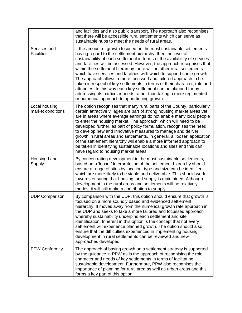|                                    | and facilities and also public transport. The approach also recognises<br>that there will be accessible rural settlements which can serve as<br>sustainable hubs to meet the needs of rural areas.                                                                                                                                                                                                                                                                                                                                                                                                                                                                                                                                                                                          |
|------------------------------------|---------------------------------------------------------------------------------------------------------------------------------------------------------------------------------------------------------------------------------------------------------------------------------------------------------------------------------------------------------------------------------------------------------------------------------------------------------------------------------------------------------------------------------------------------------------------------------------------------------------------------------------------------------------------------------------------------------------------------------------------------------------------------------------------|
| Services and<br><b>Facilities</b>  | If the amount of growth focused on the most sustainable settlements<br>having regard to the settlement hierarchy, then the level of<br>sustainability of each settlement in terms of the availability of services<br>and facilities will be assessed. However, the approach recognises that<br>within the settlement hierarchy there will be other rural settlements<br>which have services and facilities with which to support some growth.<br>The approach allows a more focussed and tailored approach to be<br>taken in respect of key settlements in terms of their character, role and<br>attributes. In this way each key settlement can be planned for by<br>addressing its particular needs rather than taking a more regimented<br>or numerical approach to apportioning growth. |
| Local housing<br>market conditions | The option recognises that many rural parts of the County, particularly<br>certain attractive villages are part of strong housing market areas yet<br>are in areas where average earnings do not enable many local people<br>to enter the housing market. The approach, which will need to be<br>developed further, as part of policy formulation, recognises the need<br>to develop new and innovative measures to manage and deliver<br>growth in rural areas and settlements. In general, a 'looser' application<br>of the settlement hierarchy will enable a more informed approach to<br>be taken in identifying sustainable locations and sites and this can<br>have regard to housing market areas.                                                                                  |
| <b>Housing Land</b><br>Supply      | By concentrating development in the most sustainable settlements,<br>based on a 'looser' interpretation of the settlement hierarchy should<br>ensure a range of sites by location, type and size can be identified<br>which are more likely to be viable and deliverable. This should work<br>towards ensuring that housing land supply is maintained. Although<br>development in the rural areas and settlements will be relatively<br>modest it will still make a contribution to supply.                                                                                                                                                                                                                                                                                                 |
| <b>UDP Comparison</b>              | By comparison with the UDP, this option should ensure that growth is<br>focused on a more soundly based and evidenced settlement<br>hierarchy. It moves away from the numerical growth rate approach in<br>the UDP and seeks to take a more tailored and focussed approach<br>whereby sustainability underpins each settlement and site<br>identification. Inherent in this option is the concept that not every<br>settlement will experience planned growth. The option should also<br>ensure that the difficulties experienced in implementing housing<br>development in rural settlements can be reviewed and new<br>approaches developed.                                                                                                                                              |
| <b>PPW Conformity</b>              | The approach of basing growth on a settlement strategy is supported<br>by the guidance in PPW as is the approach of recognising the role,<br>character and needs of key settlements in terms of facilitating<br>sustainable development. Furthermore, PPW also recognises the<br>importance of planning for rural area as well as urban areas and this<br>forms a key part of this option.                                                                                                                                                                                                                                                                                                                                                                                                  |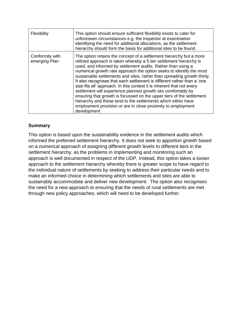| Flexibility                      | This option should ensure sufficient flexibility exists to cater for<br>unforeseen circumstances e.g. the Inspector at examination<br>identifying the need for additional allocations, as the settlement<br>hierarchy should form the basis for additional sites to be found.                                                                                                                                                                                                                                                                                                                                                                                                                                                                                                                               |
|----------------------------------|-------------------------------------------------------------------------------------------------------------------------------------------------------------------------------------------------------------------------------------------------------------------------------------------------------------------------------------------------------------------------------------------------------------------------------------------------------------------------------------------------------------------------------------------------------------------------------------------------------------------------------------------------------------------------------------------------------------------------------------------------------------------------------------------------------------|
| Conformity with<br>emerging Plan | The option retains the concept of a settlement hierarchy but a more<br>refined approach is taken whereby a 5 tier settlement hierarchy is<br>used, and informed by settlement audits. Rather than using a<br>numerical growth rate approach the option seeks to identify the most<br>sustainable settlements and sites, rather than spreading growth thinly.<br>It also recognises that each settlement is different rather than a 'one<br>size fits all' approach. In this context it is inherent that not every<br>settlement will experience planned growth sits comfortably by<br>ensuring that growth is focussed on the upper tiers of the settlement<br>hierarchy and these tend to the settlements which either have<br>employment provision or are in close proximity to employment<br>development |

### **Summary**

This option is based upon the sustainability evidence in the settlement audits which informed the preferred settlement hierarchy. It does not seek to apportion growth based on a numerical approach of assigning different growth levels to different tiers in the settlement hierarchy, as the problems in implementing and monitoring such an approach is well documented in respect of the UDP. Instead, this option takes a looser approach to the settlement hierarchy whereby there is greater scope to have regard to the individual nature of settlements by seeking to address their particular needs and to make an informed choice in determining which settlements and sites are able to sustainably accommodate and deliver new development. The option also recognises the need for a new approach to ensuring that the needs of rural settlements are met through new policy approaches, which will need to be developed further.